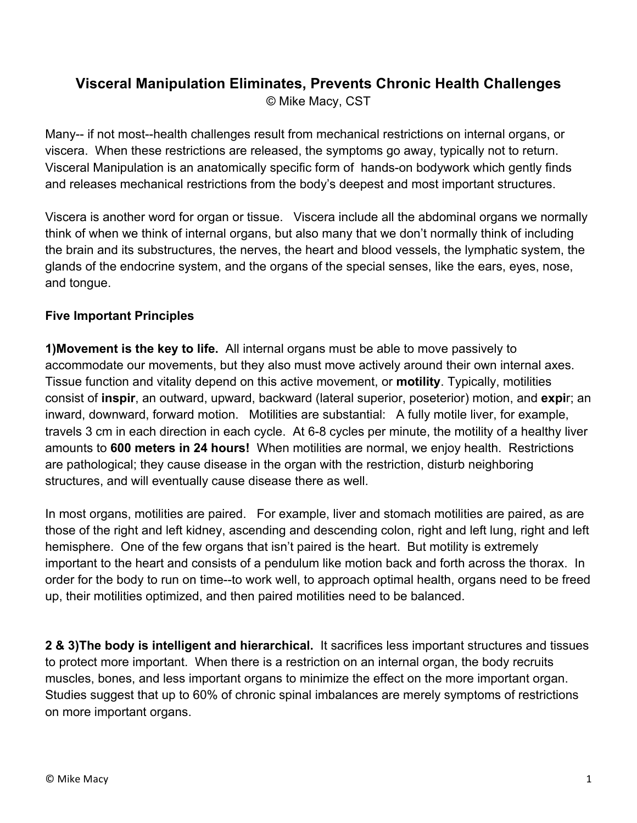# **Visceral Manipulation Eliminates, Prevents Chronic Health Challenges**

© Mike Macy, CST

Many-- if not most--health challenges result from mechanical restrictions on internal organs, or viscera. When these restrictions are released, the symptoms go away, typically not to return. Visceral Manipulation is an anatomically specific form of hands-on bodywork which gently finds and releases mechanical restrictions from the body's deepest and most important structures.

Viscera is another word for organ or tissue. Viscera include all the abdominal organs we normally think of when we think of internal organs, but also many that we don't normally think of including the brain and its substructures, the nerves, the heart and blood vessels, the lymphatic system, the glands of the endocrine system, and the organs of the special senses, like the ears, eyes, nose, and tongue.

### **Five Important Principles**

**1)Movement is the key to life.** All internal organs must be able to move passively to accommodate our movements, but they also must move actively around their own internal axes. Tissue function and vitality depend on this active movement, or **motility**. Typically, motilities consist of **inspir**, an outward, upward, backward (lateral superior, poseterior) motion, and **expi**r; an inward, downward, forward motion. Motilities are substantial: A fully motile liver, for example, travels 3 cm in each direction in each cycle. At 6-8 cycles per minute, the motility of a healthy liver amounts to **600 meters in 24 hours!** When motilities are normal, we enjoy health. Restrictions are pathological; they cause disease in the organ with the restriction, disturb neighboring structures, and will eventually cause disease there as well.

In most organs, motilities are paired. For example, liver and stomach motilities are paired, as are those of the right and left kidney, ascending and descending colon, right and left lung, right and left hemisphere. One of the few organs that isn't paired is the heart. But motility is extremely important to the heart and consists of a pendulum like motion back and forth across the thorax. In order for the body to run on time--to work well, to approach optimal health, organs need to be freed up, their motilities optimized, and then paired motilities need to be balanced.

**2 & 3)The body is intelligent and hierarchical.** It sacrifices less important structures and tissues to protect more important. When there is a restriction on an internal organ, the body recruits muscles, bones, and less important organs to minimize the effect on the more important organ. Studies suggest that up to 60% of chronic spinal imbalances are merely symptoms of restrictions on more important organs.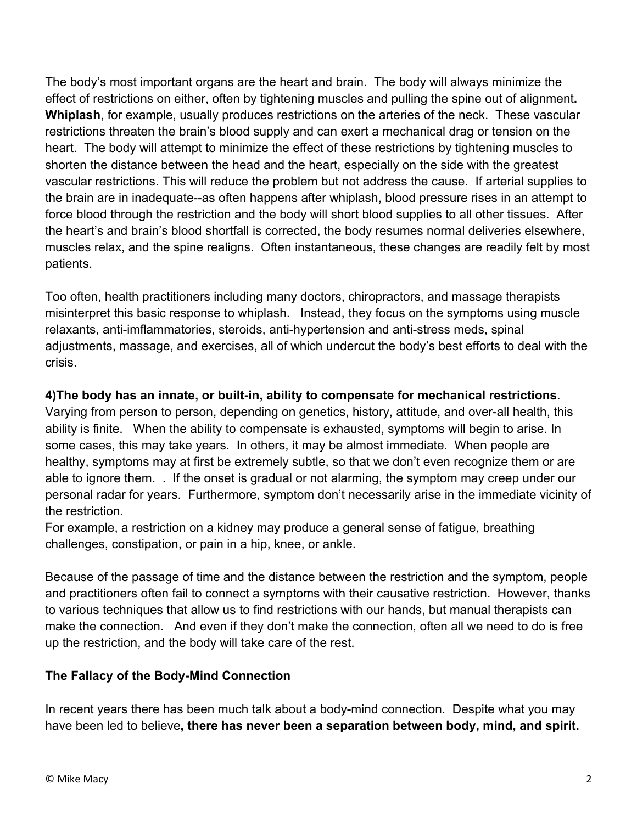The body's most important organs are the heart and brain. The body will always minimize the effect of restrictions on either, often by tightening muscles and pulling the spine out of alignment**. Whiplash**, for example, usually produces restrictions on the arteries of the neck. These vascular restrictions threaten the brain's blood supply and can exert a mechanical drag or tension on the heart. The body will attempt to minimize the effect of these restrictions by tightening muscles to shorten the distance between the head and the heart, especially on the side with the greatest vascular restrictions. This will reduce the problem but not address the cause. If arterial supplies to the brain are in inadequate--as often happens after whiplash, blood pressure rises in an attempt to force blood through the restriction and the body will short blood supplies to all other tissues. After the heart's and brain's blood shortfall is corrected, the body resumes normal deliveries elsewhere, muscles relax, and the spine realigns. Often instantaneous, these changes are readily felt by most patients.

Too often, health practitioners including many doctors, chiropractors, and massage therapists misinterpret this basic response to whiplash. Instead, they focus on the symptoms using muscle relaxants, anti-imflammatories, steroids, anti-hypertension and anti-stress meds, spinal adjustments, massage, and exercises, all of which undercut the body's best efforts to deal with the crisis.

## **4)The body has an innate, or built-in, ability to compensate for mechanical restrictions**.

Varying from person to person, depending on genetics, history, attitude, and over-all health, this ability is finite. When the ability to compensate is exhausted, symptoms will begin to arise. In some cases, this may take years. In others, it may be almost immediate. When people are healthy, symptoms may at first be extremely subtle, so that we don't even recognize them or are able to ignore them. . If the onset is gradual or not alarming, the symptom may creep under our personal radar for years. Furthermore, symptom don't necessarily arise in the immediate vicinity of the restriction.

For example, a restriction on a kidney may produce a general sense of fatigue, breathing challenges, constipation, or pain in a hip, knee, or ankle.

Because of the passage of time and the distance between the restriction and the symptom, people and practitioners often fail to connect a symptoms with their causative restriction. However, thanks to various techniques that allow us to find restrictions with our hands, but manual therapists can make the connection. And even if they don't make the connection, often all we need to do is free up the restriction, and the body will take care of the rest.

### **The Fallacy of the Body-Mind Connection**

In recent years there has been much talk about a body-mind connection. Despite what you may have been led to believe**, there has never been a separation between body, mind, and spirit.**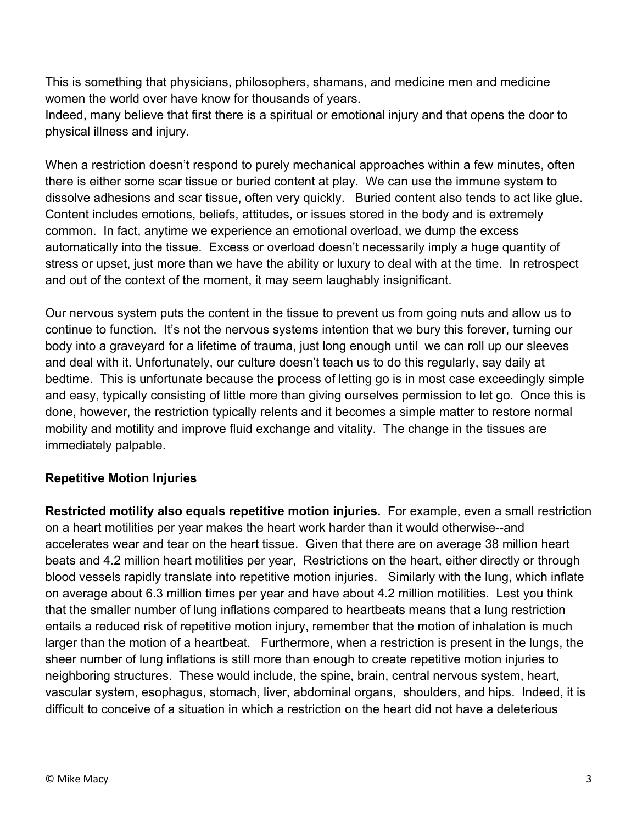This is something that physicians, philosophers, shamans, and medicine men and medicine women the world over have know for thousands of years.

Indeed, many believe that first there is a spiritual or emotional injury and that opens the door to physical illness and injury.

When a restriction doesn't respond to purely mechanical approaches within a few minutes, often there is either some scar tissue or buried content at play. We can use the immune system to dissolve adhesions and scar tissue, often very quickly. Buried content also tends to act like glue. Content includes emotions, beliefs, attitudes, or issues stored in the body and is extremely common. In fact, anytime we experience an emotional overload, we dump the excess automatically into the tissue. Excess or overload doesn't necessarily imply a huge quantity of stress or upset, just more than we have the ability or luxury to deal with at the time. In retrospect and out of the context of the moment, it may seem laughably insignificant.

Our nervous system puts the content in the tissue to prevent us from going nuts and allow us to continue to function. It's not the nervous systems intention that we bury this forever, turning our body into a graveyard for a lifetime of trauma, just long enough until we can roll up our sleeves and deal with it. Unfortunately, our culture doesn't teach us to do this regularly, say daily at bedtime. This is unfortunate because the process of letting go is in most case exceedingly simple and easy, typically consisting of little more than giving ourselves permission to let go. Once this is done, however, the restriction typically relents and it becomes a simple matter to restore normal mobility and motility and improve fluid exchange and vitality. The change in the tissues are immediately palpable.

### **Repetitive Motion Injuries**

**Restricted motility also equals repetitive motion injuries.** For example, even a small restriction on a heart motilities per year makes the heart work harder than it would otherwise--and accelerates wear and tear on the heart tissue. Given that there are on average 38 million heart beats and 4.2 million heart motilities per year, Restrictions on the heart, either directly or through blood vessels rapidly translate into repetitive motion injuries. Similarly with the lung, which inflate on average about 6.3 million times per year and have about 4.2 million motilities. Lest you think that the smaller number of lung inflations compared to heartbeats means that a lung restriction entails a reduced risk of repetitive motion injury, remember that the motion of inhalation is much larger than the motion of a heartbeat. Furthermore, when a restriction is present in the lungs, the sheer number of lung inflations is still more than enough to create repetitive motion injuries to neighboring structures. These would include, the spine, brain, central nervous system, heart, vascular system, esophagus, stomach, liver, abdominal organs, shoulders, and hips. Indeed, it is difficult to conceive of a situation in which a restriction on the heart did not have a deleterious